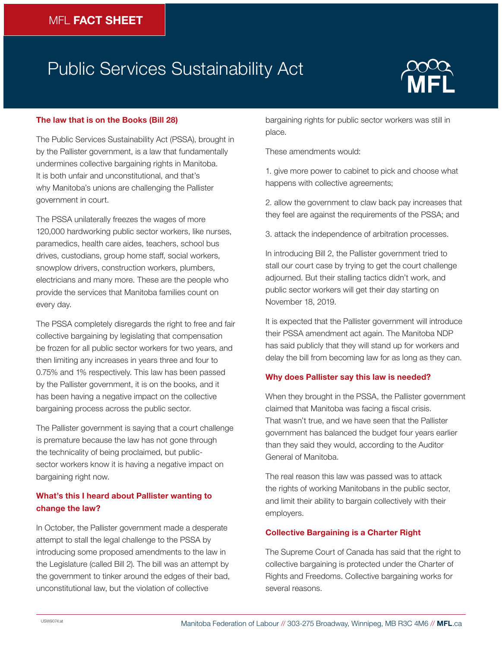# Public Services Sustainability Act



#### **The law that is on the Books (Bill 28)**

The Public Services Sustainability Act (PSSA), brought in by the Pallister government, is a law that fundamentally undermines collective bargaining rights in Manitoba. It is both unfair and unconstitutional, and that's why Manitoba's unions are challenging the Pallister government in court.

The PSSA unilaterally freezes the wages of more 120,000 hardworking public sector workers, like nurses, paramedics, health care aides, teachers, school bus drives, custodians, group home staff, social workers, snowplow drivers, construction workers, plumbers, electricians and many more. These are the people who provide the services that Manitoba families count on every day.

The PSSA completely disregards the right to free and fair collective bargaining by legislating that compensation be frozen for all public sector workers for two years, and then limiting any increases in years three and four to 0.75% and 1% respectively. This law has been passed by the Pallister government, it is on the books, and it has been having a negative impact on the collective bargaining process across the public sector.

The Pallister government is saying that a court challenge is premature because the law has not gone through the technicality of being proclaimed, but publicsector workers know it is having a negative impact on bargaining right now.

## **What's this I heard about Pallister wanting to change the law?**

In October, the Pallister government made a desperate attempt to stall the legal challenge to the PSSA by introducing some proposed amendments to the law in the Legislature (called Bill 2). The bill was an attempt by the government to tinker around the edges of their bad, unconstitutional law, but the violation of collective

bargaining rights for public sector workers was still in place.

These amendments would:

1. give more power to cabinet to pick and choose what happens with collective agreements;

2. allow the government to claw back pay increases that they feel are against the requirements of the PSSA; and

3. attack the independence of arbitration processes.

In introducing Bill 2, the Pallister government tried to stall our court case by trying to get the court challenge adjourned. But their stalling tactics didn't work, and public sector workers will get their day starting on November 18, 2019.

It is expected that the Pallister government will introduce their PSSA amendment act again. The Manitoba NDP has said publicly that they will stand up for workers and delay the bill from becoming law for as long as they can.

#### **Why does Pallister say this law is needed?**

When they brought in the PSSA, the Pallister government claimed that Manitoba was facing a fiscal crisis. That wasn't true, and we have seen that the Pallister government has balanced the budget four years earlier than they said they would, according to the Auditor General of Manitoba.

The real reason this law was passed was to attack the rights of working Manitobans in the public sector, and limit their ability to bargain collectively with their employers.

#### **Collective Bargaining is a Charter Right**

The Supreme Court of Canada has said that the right to collective bargaining is protected under the Charter of Rights and Freedoms. Collective bargaining works for several reasons.